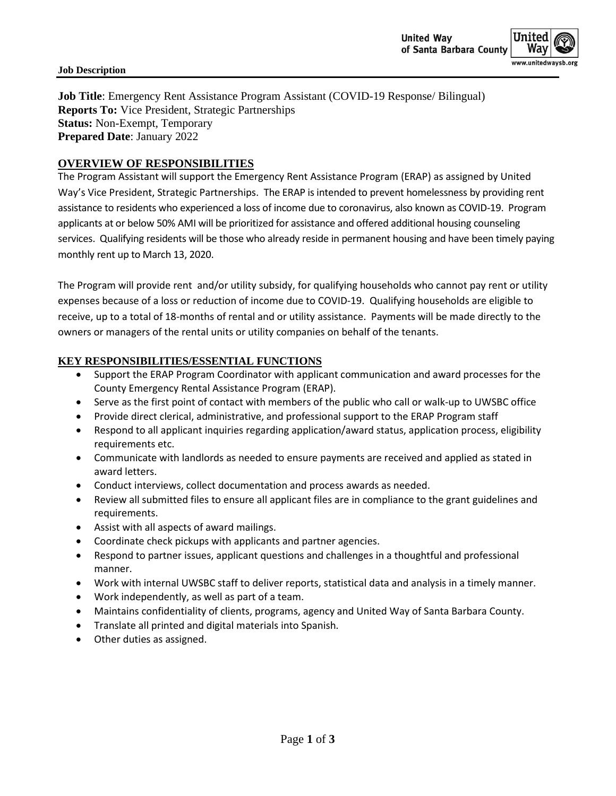**Job Title**: Emergency Rent Assistance Program Assistant (COVID-19 Response/ Bilingual) **Reports To:** Vice President, Strategic Partnerships **Status:** Non-Exempt, Temporary **Prepared Date**: January 2022

## **OVERVIEW OF RESPONSIBILITIES**

The Program Assistant will support the Emergency Rent Assistance Program (ERAP) as assigned by United Way's Vice President, Strategic Partnerships. The ERAP is intended to prevent homelessness by providing rent assistance to residents who experienced a loss of income due to coronavirus, also known as COVID-19. Program applicants at or below 50% AMI will be prioritized for assistance and offered additional housing counseling services. Qualifying residents will be those who already reside in permanent housing and have been timely paying monthly rent up to March 13, 2020.

The Program will provide rent and/or utility subsidy, for qualifying households who cannot pay rent or utility expenses because of a loss or reduction of income due to COVID-19. Qualifying households are eligible to receive, up to a total of 18-months of rental and or utility assistance. Payments will be made directly to the owners or managers of the rental units or utility companies on behalf of the tenants.

## **KEY RESPONSIBILITIES/ESSENTIAL FUNCTIONS**

- Support the ERAP Program Coordinator with applicant communication and award processes for the County Emergency Rental Assistance Program (ERAP).
- Serve as the first point of contact with members of the public who call or walk-up to UWSBC office
- Provide direct clerical, administrative, and professional support to the ERAP Program staff
- Respond to all applicant inquiries regarding application/award status, application process, eligibility requirements etc.
- Communicate with landlords as needed to ensure payments are received and applied as stated in award letters.
- Conduct interviews, collect documentation and process awards as needed.
- Review all submitted files to ensure all applicant files are in compliance to the grant guidelines and requirements.
- Assist with all aspects of award mailings.
- Coordinate check pickups with applicants and partner agencies.
- Respond to partner issues, applicant questions and challenges in a thoughtful and professional manner.
- Work with internal UWSBC staff to deliver reports, statistical data and analysis in a timely manner.
- Work independently, as well as part of a team.
- Maintains confidentiality of clients, programs, agency and United Way of Santa Barbara County.
- Translate all printed and digital materials into Spanish.
- Other duties as assigned.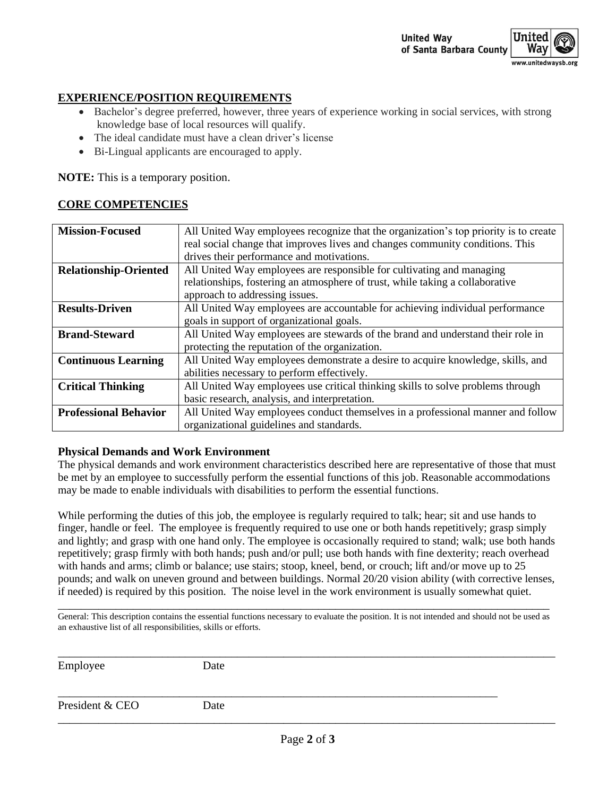## **EXPERIENCE/POSITION REQUIREMENTS**

- Bachelor's degree preferred, however, three years of experience working in social services, with strong knowledge base of local resources will qualify.
- The ideal candidate must have a clean driver's license
- Bi-Lingual applicants are encouraged to apply.

**NOTE:** This is a temporary position.

# **CORE COMPETENCIES**

| <b>Mission-Focused</b>       | All United Way employees recognize that the organization's top priority is to create |  |  |  |
|------------------------------|--------------------------------------------------------------------------------------|--|--|--|
|                              | real social change that improves lives and changes community conditions. This        |  |  |  |
|                              | drives their performance and motivations.                                            |  |  |  |
| <b>Relationship-Oriented</b> | All United Way employees are responsible for cultivating and managing                |  |  |  |
|                              | relationships, fostering an atmosphere of trust, while taking a collaborative        |  |  |  |
|                              | approach to addressing issues.                                                       |  |  |  |
| <b>Results-Driven</b>        | All United Way employees are accountable for achieving individual performance        |  |  |  |
|                              | goals in support of organizational goals.                                            |  |  |  |
| <b>Brand-Steward</b>         | All United Way employees are stewards of the brand and understand their role in      |  |  |  |
|                              | protecting the reputation of the organization.                                       |  |  |  |
| <b>Continuous Learning</b>   | All United Way employees demonstrate a desire to acquire knowledge, skills, and      |  |  |  |
|                              | abilities necessary to perform effectively.                                          |  |  |  |
| <b>Critical Thinking</b>     | All United Way employees use critical thinking skills to solve problems through      |  |  |  |
|                              | basic research, analysis, and interpretation.                                        |  |  |  |
| <b>Professional Behavior</b> | All United Way employees conduct themselves in a professional manner and follow      |  |  |  |
|                              | organizational guidelines and standards.                                             |  |  |  |

### **Physical Demands and Work Environment**

The physical demands and work environment characteristics described here are representative of those that must be met by an employee to successfully perform the essential functions of this job. Reasonable accommodations may be made to enable individuals with disabilities to perform the essential functions.

While performing the duties of this job, the employee is regularly required to talk; hear; sit and use hands to finger, handle or feel. The employee is frequently required to use one or both hands repetitively; grasp simply and lightly; and grasp with one hand only. The employee is occasionally required to stand; walk; use both hands repetitively; grasp firmly with both hands; push and/or pull; use both hands with fine dexterity; reach overhead with hands and arms; climb or balance; use stairs; stoop, kneel, bend, or crouch; lift and/or move up to 25 pounds; and walk on uneven ground and between buildings. Normal 20/20 vision ability (with corrective lenses, if needed) is required by this position. The noise level in the work environment is usually somewhat quiet.

\_\_\_\_\_\_\_\_\_\_\_\_\_\_\_\_\_\_\_\_\_\_\_\_\_\_\_\_\_\_\_\_\_\_\_\_\_\_\_\_\_\_\_\_\_\_\_\_\_\_\_\_\_\_\_\_\_\_\_\_\_\_\_\_\_\_\_\_\_\_\_\_\_\_\_\_\_\_\_\_\_\_\_\_\_ General: This description contains the essential functions necessary to evaluate the position. It is not intended and should not be used as an exhaustive list of all responsibilities, skills or efforts.

| Employee        | Date |  |
|-----------------|------|--|
| President & CEO | Date |  |